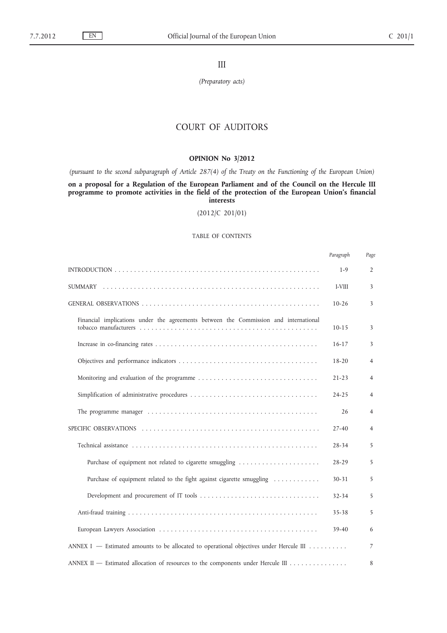III

*(Preparatory acts)*

# COURT OF AUDITORS

## **OPINION No 3/2012**

*(pursuant to the second subparagraph of Article 287(4) of the Treaty on the Functioning of the European Union)*

**on a proposal for a Regulation of the European Parliament and of the Council on the Hercule III programme to promote activities in the field of the protection of the European Union's financial interests**

(2012/C 201/01)

## TABLE OF CONTENTS

|                                                                                         | Paragraph | Page           |
|-----------------------------------------------------------------------------------------|-----------|----------------|
|                                                                                         | $1 - 9$   | $\overline{2}$ |
|                                                                                         | I-VIII    | 3              |
|                                                                                         | $10-26$   | 3              |
| Financial implications under the agreements between the Commission and international    | $10 - 15$ | 3              |
|                                                                                         | $16-17$   | 3              |
|                                                                                         | $18 - 20$ | 4              |
|                                                                                         | $21 - 23$ | 4              |
|                                                                                         | $24 - 25$ | 4              |
|                                                                                         | 26        | 4              |
|                                                                                         | 27-40     | 4              |
|                                                                                         | 28-34     | 5              |
| Purchase of equipment not related to cigarette smuggling                                | $28 - 29$ | 5              |
| Purchase of equipment related to the fight against cigarette smuggling                  | $30 - 31$ | 5              |
|                                                                                         | $32 - 34$ | 5              |
|                                                                                         | 35-38     | 5              |
|                                                                                         | 39-40     | 6              |
| ANNEX I — Estimated amounts to be allocated to operational objectives under Hercule III |           | 7              |
| ANNEX II — Estimated allocation of resources to the components under Hercule III        |           | 8              |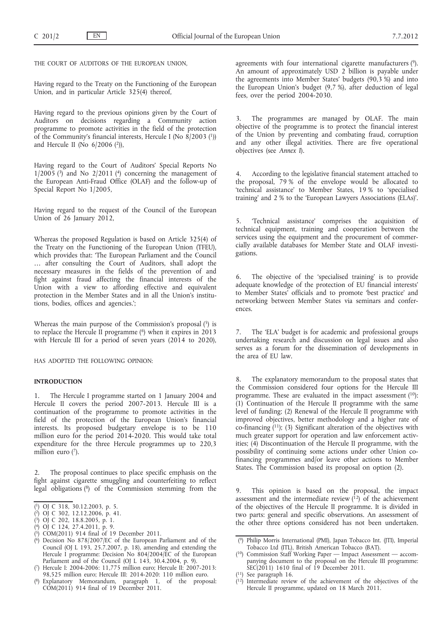THE COURT OF AUDITORS OF THE EUROPEAN UNION.

Having regard to the Treaty on the Functioning of the European Union, and in particular Article 325(4) thereof,

Having regard to the previous opinions given by the Court of Auditors on decisions regarding a Community action programme to promote activities in the field of the protection of the Community's financial interests, Hercule I (No 8/2003 (1)) and Hercule II (No  $6/2006$  (2)),

Having regard to the Court of Auditors' Special Reports No  $1/2005$  (3) and No  $2/2011$  (4) concerning the management of the European Anti-Fraud Office (OLAF) and the follow-up of Special Report No 1/2005,

Having regard to the request of the Council of the European Union of 26 January 2012,

Whereas the proposed Regulation is based on Article 325(4) of the Treaty on the Functioning of the European Union (TFEU), which provides that: 'The European Parliament and the Council … after consulting the Court of Auditors, shall adopt the necessary measures in the fields of the prevention of and fight against fraud affecting the financial interests of the Union with a view to affording effective and equivalent protection in the Member States and in all the Union's institutions, bodies, offices and agencies.';

Whereas the main purpose of the Commission's proposal  $(5)$  is to replace the Hercule II programme (6) when it expires in 2013 with Hercule III for a period of seven years (2014 to 2020),

HAS ADOPTED THE FOLLOWING OPINION:

## **INTRODUCTION**

1. The Hercule I programme started on 1 January 2004 and Hercule II covers the period 2007-2013. Hercule III is a continuation of the programme to promote activities in the field of the protection of the European Union's financial interests. Its proposed budgetary envelope is to be 110 million euro for the period 2014-2020. This would take total expenditure for the three Hercule programmes up to 220,3 million euro  $(7)$ .

2. The proposal continues to place specific emphasis on the fight against cigarette smuggling and counterfeiting to reflect legal obligations (8) of the Commission stemming from the

- ( 4) OJ C 124, 27.4.2011, p. 9.
- ( 5) COM(2011) 914 final of 19 December 2011.
- ( 6) Decision No 878/2007/EC of the European Parliament and of the Council (OJ L 193, 25.7.2007, p. 18), amending and extending the Hercule I programme: Decision No 804/2004/EC of the European Parliament and of the Council (OJ L 143, 30.4.2004, p. 9).
- ( 7) Hercule I: 2004-2006: 11,775 million euro; Hercule II: 2007-2013: 98,525 million euro; Hercule III: 2014-2020: 110 million euro.
- ( 8) Explanatory Memorandum, paragraph 1, of the proposal: COM(2011) 914 final of 19 December 2011.

agreements with four international cigarette manufacturers (9). An amount of approximately USD 2 billion is payable under the agreements into Member States' budgets (90,3 %) and into the European Union's budget (9,7 %), after deduction of legal fees, over the period 2004-2030.

3. The programmes are managed by OLAF. The main objective of the programme is to protect the financial interest of the Union by preventing and combating fraud, corruption and any other illegal activities. There are five operational objectives (see *Annex I*).

4. According to the legislative financial statement attached to the proposal, 79 % of the envelope would be allocated to 'technical assistance' to Member States, 19 % to 'specialised training' and 2 % to the 'European Lawyers Associations (ELAs)'.

5. 'Technical assistance' comprises the acquisition of technical equipment, training and cooperation between the services using the equipment and the procurement of commercially available databases for Member State and OLAF investigations.

6. The objective of the 'specialised training' is to provide adequate knowledge of the protection of EU financial interests' to Member States' officials and to promote 'best practice' and networking between Member States via seminars and conferences.

7. The 'ELA' budget is for academic and professional groups undertaking research and discussion on legal issues and also serves as a forum for the dissemination of developments in the area of EU law.

The explanatory memorandum to the proposal states that the Commission considered four options for the Hercule III programme. These are evaluated in the impact assessment  $(10)$ : (1) Continuation of the Hercule II programme with the same level of funding; (2) Renewal of the Hercule II programme with improved objectives, better methodology and a higher rate of co-financing  $(11)$ ; (3) Significant alteration of the objectives with much greater support for operation and law enforcement activities; (4) Discontinuation of the Hercule II programme, with the possibility of continuing some actions under other Union cofinancing programmes and/or leave other actions to Member States. The Commission based its proposal on option (2).

9. This opinion is based on the proposal, the impact assessment and the intermediate review  $(12)$  of the achievement of the objectives of the Hercule II programme. It is divided in two parts: general and specific observations. An assessment of the other three options considered has not been undertaken.

( See paragraph 16.

<sup>(</sup> 1) OJ C 318, 30.12.2003, p. 5.

<sup>(</sup> 2) OJ C 302, 12.12.2006, p. 41.

<sup>(</sup> 3) OJ C 202, 18.8.2005, p. 1.

 $(9)$ 9) Philip Morris International (PMI), Japan Tobacco Int. (JTI), Imperial Tobacco Ltd (ITL), British American Tobacco (BAT).

<sup>(</sup> 10) Commission Staff Working Paper — Impact Assessment — accompanying document to the proposal on the Hercule III programme: SEC(2011) 1610 final of 19 December 2011.

<sup>(</sup> 12) Intermediate review of the achievement of the objectives of the Hercule II programme, updated on 18 March 2011.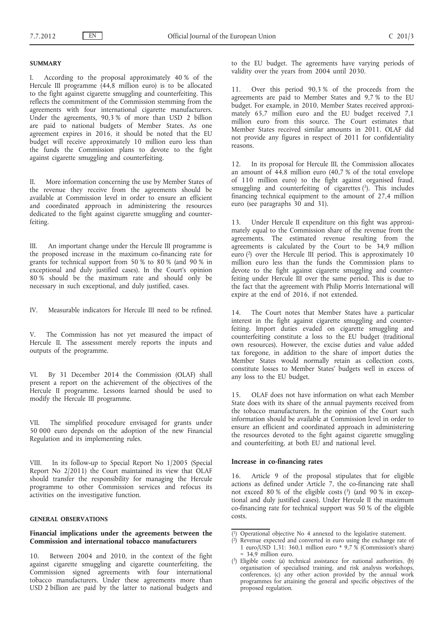### **SUMMARY**

According to the proposal approximately 40 % of the Hercule III programme (44,8 million euro) is to be allocated to the fight against cigarette smuggling and counterfeiting. This reflects the commitment of the Commission stemming from the agreements with four international cigarette manufacturers. Under the agreements, 90,3 % of more than USD 2 billion are paid to national budgets of Member States. As one agreement expires in 2016, it should be noted that the EU budget will receive approximately 10 million euro less than the funds the Commission plans to devote to the fight against cigarette smuggling and counterfeiting.

II. More information concerning the use by Member States of the revenue they receive from the agreements should be available at Commission level in order to ensure an efficient and coordinated approach in administering the resources dedicated to the fight against cigarette smuggling and counterfeiting.

III. An important change under the Hercule III programme is the proposed increase in the maximum co-financing rate for grants for technical support from 50 % to 80 % (and 90 % in exceptional and duly justified cases). In the Court's opinion  $80\%$  should be the maximum rate and should only be necessary in such exceptional, and duly justified, cases.

IV. Measurable indicators for Hercule III need to be refined.

V. The Commission has not yet measured the impact of Hercule II. The assessment merely reports the inputs and outputs of the programme.

VI. By 31 December 2014 the Commission (OLAF) shall present a report on the achievement of the objectives of the Hercule II programme. Lessons learned should be used to modify the Hercule III programme.

VII. The simplified procedure envisaged for grants under 50 000 euro depends on the adoption of the new Financial Regulation and its implementing rules.

VIII. In its follow-up to Special Report No 1/2005 (Special Report No 2/2011) the Court maintained its view that OLAF should transfer the responsibility for managing the Hercule programme to other Commission services and refocus its activities on the investigative function.

## **GENERAL OBSERVATIONS**

### **Financial implications under the agreements between the Commission and international tobacco manufacturers**

10. Between 2004 and 2010, in the context of the fight against cigarette smuggling and cigarette counterfeiting, the Commission signed agreements with four international tobacco manufacturers. Under these agreements more than USD 2 billion are paid by the latter to national budgets and

to the EU budget. The agreements have varying periods of validity over the years from 2004 until 2030.

11. Over this period 90,3 % of the proceeds from the agreements are paid to Member States and 9,7 % to the EU budget. For example, in 2010, Member States received approximately 65,7 million euro and the EU budget received 7,1 million euro from this source. The Court estimates that Member States received similar amounts in 2011. OLAF did not provide any figures in respect of 2011 for confidentiality reasons.

12. In its proposal for Hercule III, the Commission allocates an amount of 44,8 million euro (40,7 % of the total envelope of 110 million euro) to the fight against organised fraud, smuggling and counterfeiting of cigarettes (1). This includes financing technical equipment to the amount of 27,4 million euro (see paragraphs 30 and 31).

13. Under Hercule II expenditure on this fight was approximately equal to the Commission share of the revenue from the agreements. The estimated revenue resulting from the agreements is calculated by the Court to be 34,9 million euro (2) over the Hercule III period. This is approximately 10 million euro less than the funds the Commission plans to devote to the fight against cigarette smuggling and counterfeiting under Hercule III over the same period. This is due to the fact that the agreement with Philip Morris International will expire at the end of 2016, if not extended.

14. The Court notes that Member States have a particular interest in the fight against cigarette smuggling and counterfeiting. Import duties evaded on cigarette smuggling and counterfeiting constitute a loss to the EU budget (traditional own resources). However, the excise duties and value added tax foregone, in addition to the share of import duties the Member States would normally retain as collection costs, constitute losses to Member States' budgets well in excess of any loss to the EU budget.

15. OLAF does not have information on what each Member State does with its share of the annual payments received from the tobacco manufacturers. In the opinion of the Court such information should be available at Commission level in order to ensure an efficient and coordinated approach in administering the resources devoted to the fight against cigarette smuggling and counterfeiting, at both EU and national level.

#### **Increase in co-financing rates**

16. Article 9 of the proposal stipulates that for eligible actions as defined under Article 7, the co-financing rate shall not exceed 80 % of the eligible costs  $(3)$  (and 90 % in exceptional and duly justified cases). Under Hercule II the maximum co-financing rate for technical support was 50 % of the eligible costs.

<sup>(</sup> 1) Operational objective No 4 annexed to the legislative statement.

<sup>(</sup> 2) Revenue expected and converted in euro using the exchange rate of 1 euro/USD 1,31: 360,1 million euro \* 9,7 % (Commission's share)  $= 34.9$  million euro.

<sup>(</sup> 3) Eligible costs: (a) technical assistance for national authorities, (b) organisation of specialised training, and risk analysis workshops, conferences, (c) any other action provided by the annual work programmes for attaining the general and specific objectives of the proposed regulation.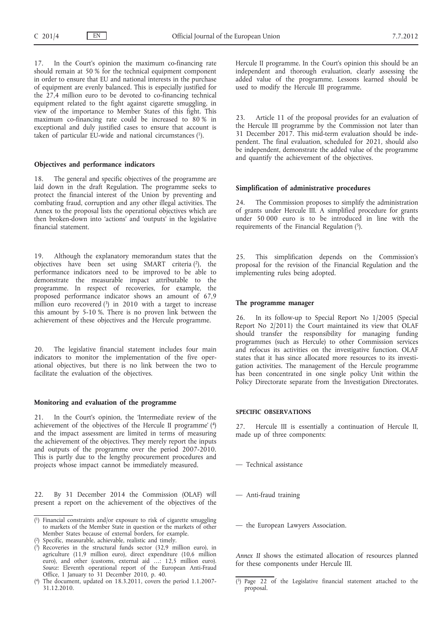17. In the Court's opinion the maximum co-financing rate should remain at 50 % for the technical equipment component in order to ensure that EU and national interests in the purchase of equipment are evenly balanced. This is especially justified for the 27,4 million euro to be devoted to co-financing technical equipment related to the fight against cigarette smuggling, in view of the importance to Member States of this fight. This maximum co-financing rate could be increased to 80 % in exceptional and duly justified cases to ensure that account is taken of particular  $EU$ -wide and national circumstances  $(1)$ .

### **Objectives and performance indicators**

18. The general and specific objectives of the programme are laid down in the draft Regulation. The programme seeks to protect the financial interest of the Union by preventing and combating fraud, corruption and any other illegal activities. The Annex to the proposal lists the operational objectives which are then broken-down into 'actions' and 'outputs' in the legislative financial statement.

19. Although the explanatory memorandum states that the objectives have been set using SMART criteria (2), the performance indicators need to be improved to be able to demonstrate the measurable impact attributable to the programme. In respect of recoveries, for example, the proposed performance indicator shows an amount of 67,9 million euro recovered  $(3)$  in 2010 with a target to increase this amount by 5-10 %. There is no proven link between the achievement of these objectives and the Hercule programme.

20. The legislative financial statement includes four main indicators to monitor the implementation of the five operational objectives, but there is no link between the two to facilitate the evaluation of the objectives.

### **Monitoring and evaluation of the programme**

21. In the Court's opinion, the 'Intermediate review of the achievement of the objectives of the Hercule II programme' (4) and the impact assessment are limited in terms of measuring the achievement of the objectives. They merely report the inputs and outputs of the programme over the period 2007-2010. This is partly due to the lengthy procurement procedures and projects whose impact cannot be immediately measured.

22. By 31 December 2014 the Commission (OLAF) will present a report on the achievement of the objectives of the Hercule II programme. In the Court's opinion this should be an independent and thorough evaluation, clearly assessing the added value of the programme. Lessons learned should be used to modify the Hercule III programme.

23. Article 11 of the proposal provides for an evaluation of the Hercule III programme by the Commission not later than 31 December 2017. This mid-term evaluation should be independent. The final evaluation, scheduled for 2021, should also be independent, demonstrate the added value of the programme and quantify the achievement of the objectives.

#### **Simplification of administrative procedures**

The Commission proposes to simplify the administration of grants under Hercule III. A simplified procedure for grants under 50 000 euro is to be introduced in line with the requirements of the Financial Regulation (5).

25. This simplification depends on the Commission's proposal for the revision of the Financial Regulation and the implementing rules being adopted.

#### **The programme manager**

26. In its follow-up to Special Report No 1/2005 (Special Report No 2/2011) the Court maintained its view that OLAF should transfer the responsibility for managing funding programmes (such as Hercule) to other Commission services and refocus its activities on the investigative function. OLAF states that it has since allocated more resources to its investigation activities. The management of the Hercule programme has been concentrated in one single policy Unit within the Policy Directorate separate from the Investigation Directorates.

#### **SPECIFIC OBSERVATIONS**

27. Hercule III is essentially a continuation of Hercule II, made up of three components:

- Technical assistance
- Anti-fraud training
- the European Lawyers Association.

*Annex II* shows the estimated allocation of resources planned for these components under Hercule III.

<sup>(</sup> 1) Financial constraints and/or exposure to risk of cigarette smuggling to markets of the Member State in question or the markets of other Member States because of external borders, for example.

<sup>(</sup> 2) Specific, measurable, achievable, realistic and timely.

<sup>(</sup> 3) Recoveries in the structural funds sector (32,9 million euro), in agriculture (11,9 million euro), direct expenditure (10,6 million euro), and other (customs, external aid …: 12,5 million euro). *Source:* Eleventh operational report of the European Anti-Fraud Office, 1 January to 31 December 2010, p. 40.

<sup>(</sup> The document, updated on 18.3.2011, covers the period 1.1.2007-31.12.2010.

<sup>(</sup> 5) Page 22 of the Legislative financial statement attached to the proposal.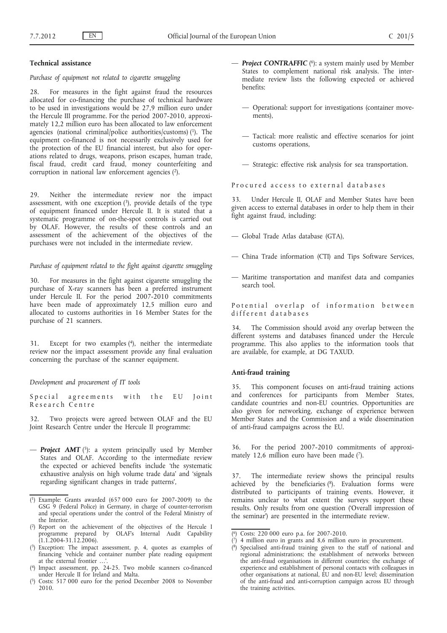## **Technical assistance**

*Purchase of equipment not related to cigarette smuggling*

28. For measures in the fight against fraud the resources allocated for co-financing the purchase of technical hardware to be used in investigations would be 27,9 million euro under the Hercule III programme. For the period 2007-2010, approximately 12,2 million euro has been allocated to law enforcement agencies (national criminal/police authorities/customs) (1). The equipment co-financed is not necessarily exclusively used for the protection of the EU financial interest, but also for operations related to drugs, weapons, prison escapes, human trade, fiscal fraud, credit card fraud, money counterfeiting and corruption in national law enforcement agencies  $(2)$ .

29. Neither the intermediate review nor the impact assessment, with one exception  $(3)$ , provide details of the type of equipment financed under Hercule II. It is stated that a systematic programme of on-the-spot controls is carried out by OLAF. However, the results of these controls and an assessment of the achievement of the objectives of the purchases were not included in the intermediate review.

*Purchase of equipment related to the fight against cigarette smuggling*

For measures in the fight against cigarette smuggling the purchase of X-ray scanners has been a preferred instrument under Hercule II. For the period 2007-2010 commitments have been made of approximately 12,5 million euro and allocated to customs authorities in 16 Member States for the purchase of 21 scanners.

31. Except for two examples (4), neither the intermediate review nor the impact assessment provide any final evaluation concerning the purchase of the scanner equipment.

*Development and procurement of IT tools*

Special agreements with the EU Joint Research Centre

32. Two projects were agreed between OLAF and the EU Joint Research Centre under the Hercule II programme:

 $\overline{\phantom{a}}$  **Project AMT** (5): a system principally used by Member States and OLAF. According to the intermediate review the expected or achieved benefits include 'the systematic exhaustive analysis on high volume trade data' and 'signals regarding significant changes in trade patterns',

- — *Project CONTRAFFIC* (6): a system mainly used by Member States to complement national risk analysis. The intermediate review lists the following expected or achieved benefits:
	- Operational: support for investigations (container movements),
	- Tactical: more realistic and effective scenarios for joint customs operations,
	- Strategic: effective risk analysis for sea transportation.

Procured access to external databases

33. Under Hercule II, OLAF and Member States have been given access to external databases in order to help them in their fight against fraud, including:

- Global Trade Atlas database (GTA),
- China Trade information (CTI) and Tips Software Services,
- Maritime transportation and manifest data and companies search tool.

Potential overlap of information between different databases

34. The Commission should avoid any overlap between the different systems and databases financed under the Hercule programme. This also applies to the information tools that are available, for example, at DG TAXUD.

#### **Anti-fraud training**

35. This component focuses on anti-fraud training actions and conferences for participants from Member States, candidate countries and non-EU countries. Opportunities are also given for networking, exchange of experience between Member States and the Commission and a wide dissemination of anti-fraud campaigns across the EU.

36. For the period 2007-2010 commitments of approximately 12,6 million euro have been made  $(7)$ .

37. The intermediate review shows the principal results achieved by the beneficiaries  $(^{8})$ . Evaluation forms were distributed to participants of training events. However, it remains unclear to what extent the surveys support these results. Only results from one question ('Overall impression of the seminar') are presented in the intermediate review.

<sup>(</sup> 1) Example: Grants awarded (657 000 euro for 2007-2009) to the GSG 9 (Federal Police) in Germany, in charge of counter-terrorism and special operations under the control of the Federal Ministry of the Interior.

<sup>(</sup> 2) Report on the achievement of the objectives of the Hercule I programme prepared by OLAF's Internal Audit Capability  $(1.1.2004 - 31.12.2006)$ .

<sup>(</sup> 3) Exception: The impact assessment, p. 4, quotes as examples of financing 'vehicle and container number plate reading equipment at the external frontier …'.

<sup>(</sup> 4) Impact assessment, pp. 24-25. Two mobile scanners co-financed under Hercule II for Ireland and Malta.

 $(5)$ 5) Costs: 517 000 euro for the period December 2008 to November 2010.

<sup>(</sup> 6) Costs: 220 000 euro p.a. for 2007-2010.

<sup>(</sup> 7) 4 million euro in grants and 8,6 million euro in procurement.

<sup>(</sup> 8) Specialised anti-fraud training given to the staff of national and regional administrations; the establishment of networks between the anti-fraud organisations in different countries; the exchange of experience and establishment of personal contacts with colleagues in other organisations at national, EU and non-EU level; dissemination of the anti-fraud and anti-corruption campaign across EU through the training activities.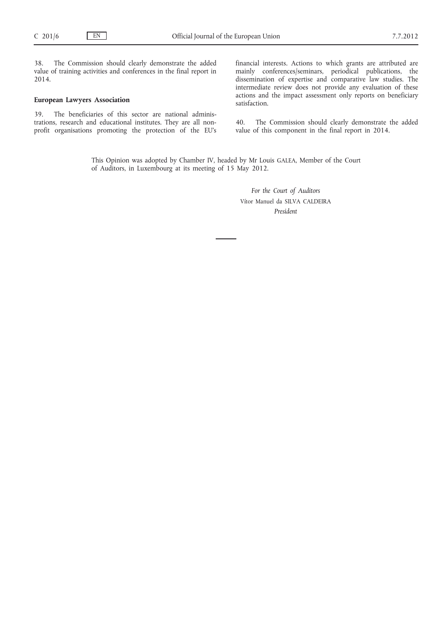38. The Commission should clearly demonstrate the added value of training activities and conferences in the final report in 2014.

## **European Lawyers Association**

39. The beneficiaries of this sector are national administrations, research and educational institutes. They are all nonprofit organisations promoting the protection of the EU's financial interests. Actions to which grants are attributed are mainly conferences/seminars, periodical publications, the dissemination of expertise and comparative law studies. The intermediate review does not provide any evaluation of these actions and the impact assessment only reports on beneficiary satisfaction.

40. The Commission should clearly demonstrate the added value of this component in the final report in 2014.

This Opinion was adopted by Chamber IV, headed by Mr Louis GALEA, Member of the Court of Auditors, in Luxembourg at its meeting of 15 May 2012.

> *For the Court of Auditors* Vítor Manuel da SILVA CALDEIRA *President*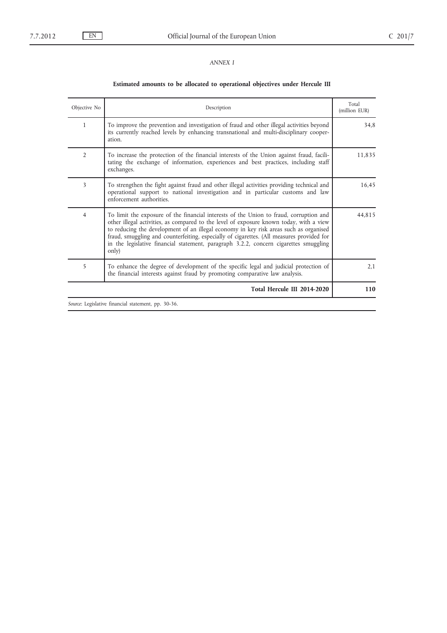## *ANNEX I*

## **Estimated amounts to be allocated to operational objectives under Hercule III**

| Total<br>(million EUR) | Description                                                                                                                                                                                                                                                                                                                                                                                                                                                               | Objective No   |
|------------------------|---------------------------------------------------------------------------------------------------------------------------------------------------------------------------------------------------------------------------------------------------------------------------------------------------------------------------------------------------------------------------------------------------------------------------------------------------------------------------|----------------|
| 34.8                   | To improve the prevention and investigation of fraud and other illegal activities beyond<br>its currently reached levels by enhancing transnational and multi-disciplinary cooper-<br>ation.                                                                                                                                                                                                                                                                              | $\mathbf{1}$   |
| 11,835                 | To increase the protection of the financial interests of the Union against fraud, facili-<br>tating the exchange of information, experiences and best practices, including staff<br>exchanges.                                                                                                                                                                                                                                                                            | $\overline{2}$ |
| 16,45                  | To strengthen the fight against fraud and other illegal activities providing technical and<br>operational support to national investigation and in particular customs and law<br>enforcement authorities.                                                                                                                                                                                                                                                                 | 3              |
| 44,815                 | To limit the exposure of the financial interests of the Union to fraud, corruption and<br>other illegal activities, as compared to the level of exposure known today, with a view<br>to reducing the development of an illegal economy in key risk areas such as organised<br>fraud, smuggling and counterfeiting, especially of cigarettes. (All measures provided for<br>in the legislative financial statement, paragraph 3.2.2, concern cigarettes smuggling<br>only) | $\overline{4}$ |
| 2,1                    | To enhance the degree of development of the specific legal and judicial protection of<br>the financial interests against fraud by promoting comparative law analysis.                                                                                                                                                                                                                                                                                                     | 5              |
| 110                    | Total Hercule III 2014-2020                                                                                                                                                                                                                                                                                                                                                                                                                                               |                |

*Source*: Legislative financial statement, pp. 30-36.